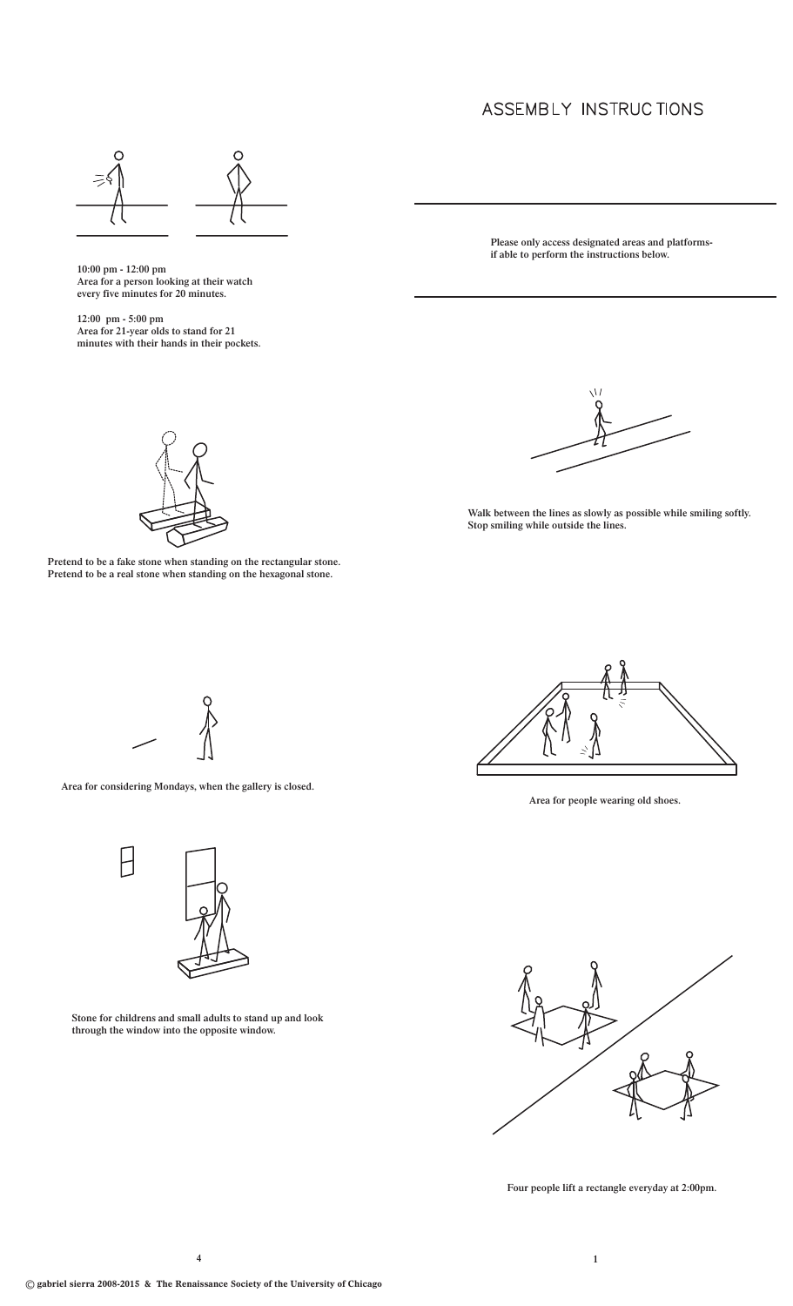## ASSEMBLY INSTRUCTIONS



 **10:00 pm - 12:00 pm Area for a person looking at their watch every five minutes for 20 minutes.**

 **12:00 pm - 5:00 pm Area for 21-year olds to stand for 21 minutes with their hands in their pockets.**

**Please only access designated areas and platformsif able to perform the instructions below.** 



**Pretend to be a fake stone when standing on the rectangular stone. Pretend to be a real stone when standing on the hexagonal stone.**

**Walk between the lines as slowly as possible while smiling softly. Stop smiling while outside the lines.**



**Area for considering Mondays, when the gallery is closed.**



**Stone for childrens and small adults to stand up and look through the window into the opposite window.**



**Area for people wearing old shoes.**



**Four people lift a rectangle everyday at 2:00pm.**

**4 1**